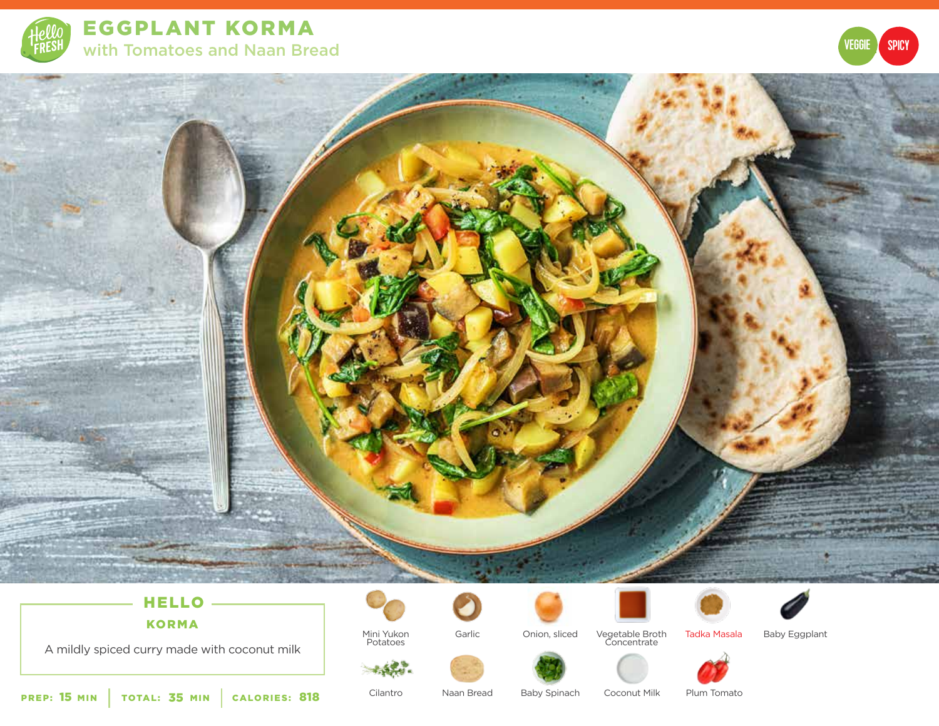

EGGPLANT KORMA with Tomatoes and Naan Bread





# HELLO KORMA

A mildly spiced curry made with coconut milk



Mini Yukon Potatoes

 $\sim$   $\sim$   $\sim$ 





Vegetable Broth Concentrate Garlic Tadka Masala Baby Eggplant





Cilantro

Baby Spinach Coconut Milk Plum Tomato